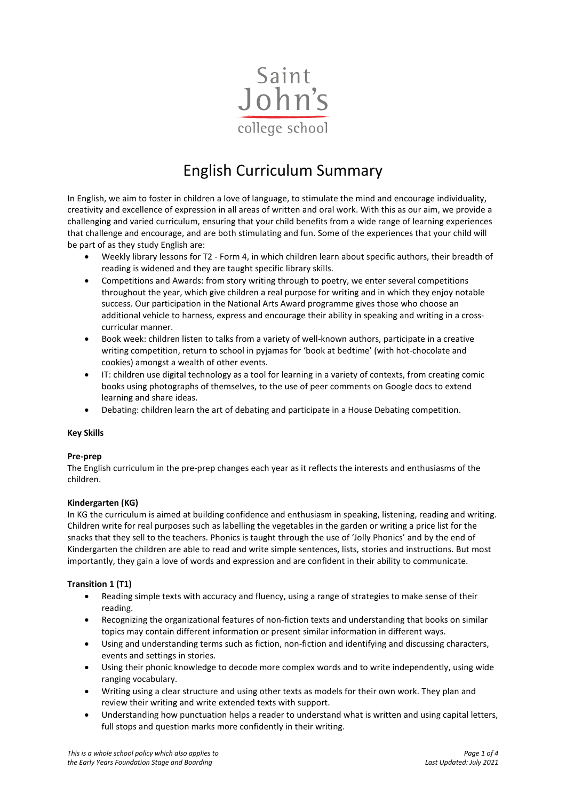

# English Curriculum Summary

In English, we aim to foster in children a love of language, to stimulate the mind and encourage individuality, creativity and excellence of expression in all areas of written and oral work. With this as our aim, we provide a challenging and varied curriculum, ensuring that your child benefits from a wide range of learning experiences that challenge and encourage, and are both stimulating and fun. Some of the experiences that your child will be part of as they study English are:

- Weekly library lessons for T2 Form 4, in which children learn about specific authors, their breadth of reading is widened and they are taught specific library skills.
- Competitions and Awards: from story writing through to poetry, we enter several competitions throughout the year, which give children a real purpose for writing and in which they enjoy notable success. Our participation in the National Arts Award programme gives those who choose an additional vehicle to harness, express and encourage their ability in speaking and writing in a crosscurricular manner.
- Book week: children listen to talks from a variety of well-known authors, participate in a creative writing competition, return to school in pyjamas for 'book at bedtime' (with hot-chocolate and cookies) amongst a wealth of other events.
- IT: children use digital technology as a tool for learning in a variety of contexts, from creating comic books using photographs of themselves, to the use of peer comments on Google docs to extend learning and share ideas.
- Debating: children learn the art of debating and participate in a House Debating competition.

#### **Key Skills**

# **Pre-prep**

The English curriculum in the pre-prep changes each year as it reflects the interests and enthusiasms of the children.

# **Kindergarten (KG)**

In KG the curriculum is aimed at building confidence and enthusiasm in speaking, listening, reading and writing. Children write for real purposes such as labelling the vegetables in the garden or writing a price list for the snacks that they sell to the teachers. Phonics is taught through the use of 'Jolly Phonics' and by the end of Kindergarten the children are able to read and write simple sentences, lists, stories and instructions. But most importantly, they gain a love of words and expression and are confident in their ability to communicate.

# **Transition 1 (T1)**

- Reading simple texts with accuracy and fluency, using a range of strategies to make sense of their reading.
- Recognizing the organizational features of non-fiction texts and understanding that books on similar topics may contain different information or present similar information in different ways.
- Using and understanding terms such as fiction, non-fiction and identifying and discussing characters, events and settings in stories.
- Using their phonic knowledge to decode more complex words and to write independently, using wide ranging vocabulary.
- Writing using a clear structure and using other texts as models for their own work. They plan and review their writing and write extended texts with support.
- Understanding how punctuation helps a reader to understand what is written and using capital letters, full stops and question marks more confidently in their writing.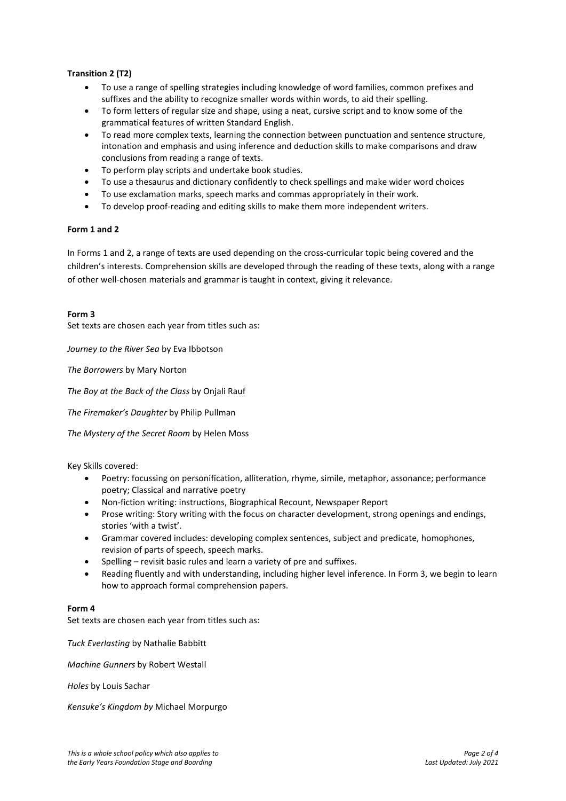## **Transition 2 (T2)**

- To use a range of spelling strategies including knowledge of word families, common prefixes and suffixes and the ability to recognize smaller words within words, to aid their spelling.
- To form letters of regular size and shape, using a neat, cursive script and to know some of the grammatical features of written Standard English.
- To read more complex texts, learning the connection between punctuation and sentence structure, intonation and emphasis and using inference and deduction skills to make comparisons and draw conclusions from reading a range of texts.
- To perform play scripts and undertake book studies.
- To use a thesaurus and dictionary confidently to check spellings and make wider word choices
- To use exclamation marks, speech marks and commas appropriately in their work.
- To develop proof-reading and editing skills to make them more independent writers.

#### **Form 1 and 2**

In Forms 1 and 2, a range of texts are used depending on the cross-curricular topic being covered and the children's interests. Comprehension skills are developed through the reading of these texts, along with a range of other well-chosen materials and grammar is taught in context, giving it relevance.

#### **Form 3**

Set texts are chosen each year from titles such as:

*Journey to the River Sea* by Eva Ibbotson

*The Borrowers* by Mary Norton

*The Boy at the Back of the Class* by Onjali Rauf

*The Firemaker's Daughter* by Philip Pullman

*The Mystery of the Secret Room* by Helen Moss

Key Skills covered:

- Poetry: focussing on personification, alliteration, rhyme, simile, metaphor, assonance; performance poetry; Classical and narrative poetry
- Non-fiction writing: instructions, Biographical Recount, Newspaper Report
- Prose writing: Story writing with the focus on character development, strong openings and endings, stories 'with a twist'.
- Grammar covered includes: developing complex sentences, subject and predicate, homophones, revision of parts of speech, speech marks.
- Spelling revisit basic rules and learn a variety of pre and suffixes.
- Reading fluently and with understanding, including higher level inference. In Form 3, we begin to learn how to approach formal comprehension papers.

#### **Form 4**

Set texts are chosen each year from titles such as:

*Tuck Everlasting* by Nathalie Babbitt

*Machine Gunners* by Robert Westall

*Holes* by Louis Sachar

*Kensuke's Kingdom by* Michael Morpurgo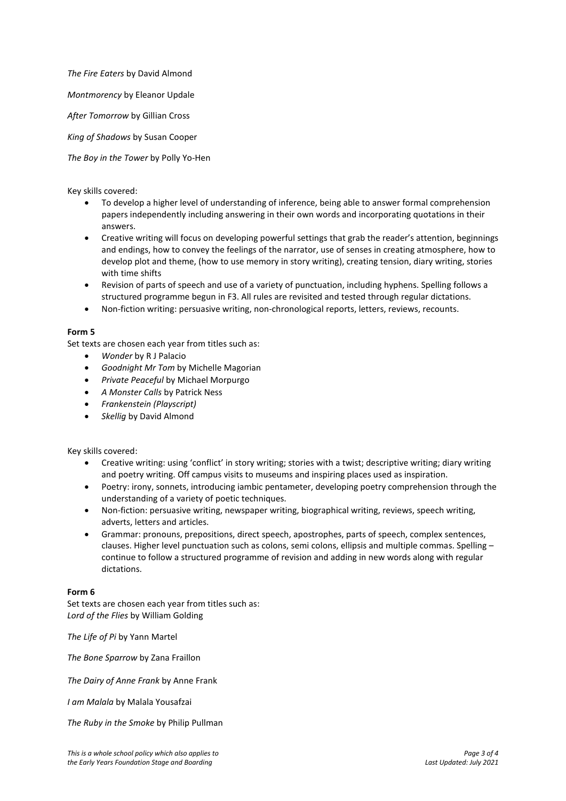*The Fire Eaters* by David Almond

*Montmorency* by Eleanor Updale

*After Tomorrow* by Gillian Cross

*King of Shadows* by Susan Cooper

*The Boy in the Tower* by Polly Yo-Hen

Key skills covered:

- To develop a higher level of understanding of inference, being able to answer formal comprehension papers independently including answering in their own words and incorporating quotations in their answers.
- Creative writing will focus on developing powerful settings that grab the reader's attention, beginnings and endings, how to convey the feelings of the narrator, use of senses in creating atmosphere, how to develop plot and theme, (how to use memory in story writing), creating tension, diary writing, stories with time shifts
- Revision of parts of speech and use of a variety of punctuation, including hyphens. Spelling follows a structured programme begun in F3. All rules are revisited and tested through regular dictations.
- Non-fiction writing: persuasive writing, non-chronological reports, letters, reviews, recounts.

#### **Form 5**

Set texts are chosen each year from titles such as:

- *Wonder* by R J Palacio
- *Goodnight Mr Tom* by Michelle Magorian
- *Private Peaceful* by Michael Morpurgo
- *A Monster Calls* by Patrick Ness
- *Frankenstein (Playscript)*
- *Skellig* by David Almond

Key skills covered:

- Creative writing: using 'conflict' in story writing; stories with a twist; descriptive writing; diary writing and poetry writing. Off campus visits to museums and inspiring places used as inspiration.
- Poetry: irony, sonnets, introducing iambic pentameter, developing poetry comprehension through the understanding of a variety of poetic techniques.
- Non-fiction: persuasive writing, newspaper writing, biographical writing, reviews, speech writing, adverts, letters and articles.
- Grammar: pronouns, prepositions, direct speech, apostrophes, parts of speech, complex sentences, clauses. Higher level punctuation such as colons, semi colons, ellipsis and multiple commas. Spelling – continue to follow a structured programme of revision and adding in new words along with regular dictations.

#### **Form 6**

Set texts are chosen each year from titles such as: *Lord of the Flies* by William Golding

*The Life of Pi* by Yann Martel

*The Bone Sparrow* by Zana Fraillon

*The Dairy of Anne Frank* by Anne Frank

*I am Malala* by Malala Yousafzai

*The Ruby in the Smoke* by Philip Pullman